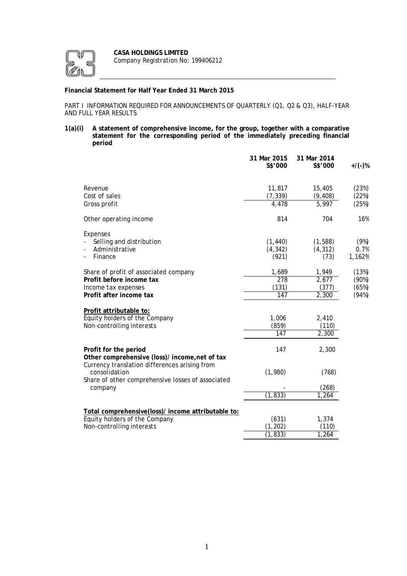

# **Financial Statement for Half Year Ended 31 March 2015**

PART I INFORMATION REQUIRED FOR ANNOUNCEMENTS OF QUARTERLY (Q1, Q2 & Q3), HALF-YEAR AND FULL YEAR RESULTS

**1(a)(i) A statement of comprehensive income, for the group, together with a comparative statement for the corresponding period of the immediately preceding financial period**

|                                                                                                                     | 31 Mar 2015<br>S\$'000        | 31 Mar 2014<br>S\$'000           | $+$ /(-)%                        |
|---------------------------------------------------------------------------------------------------------------------|-------------------------------|----------------------------------|----------------------------------|
| Revenue<br>Cost of sales<br>Gross profit                                                                            | 11,817<br>(7, 339)<br>4.478   | 15,405<br>(9, 408)<br>5,997      | (23%)<br>(22%)<br>(25%)          |
| Other operating income                                                                                              | 814                           | 704                              | 16%                              |
| Expenses<br>Selling and distribution<br>Administrative<br>Finance                                                   | (1, 440)<br>(4, 342)<br>(921) | (1, 588)<br>(4, 312)<br>(73)     | (9%)<br>0.7%<br>1,162%           |
| Share of profit of associated company<br>Profit before income tax<br>Income tax expenses<br>Profit after income tax | 1,689<br>278<br>(131)<br>147  | 1,949<br>2,677<br>(377)<br>2,300 | (13%)<br>(90%)<br>(65%)<br>(94%) |
| Profit attributable to:<br>Equity holders of the Company<br>Non-controlling interests                               | 1,006<br>(859)<br>147         | 2,410<br>(110)<br>2,300          |                                  |
| Profit for the period<br>Other comprehensive (loss)/ income, net of tax                                             | 147                           | 2,300                            |                                  |
| Currency translation differences arising from<br>consolidation<br>Share of other comprehensive losses of associated | (1,980)                       | (768)                            |                                  |
| company                                                                                                             | (1, 833)                      | (268)<br>1,264                   |                                  |
| Total comprehensive(loss)/ income attributable to:<br>Equity holders of the Company<br>Non-controlling interests    | (631)<br>(1, 202)<br>(1, 833) | 1,374<br>(110)<br>1,264          |                                  |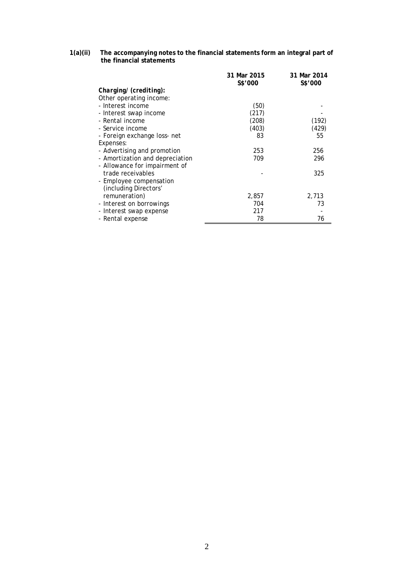### **1(a)(ii) The accompanying notes to the financial statements form an integral part of the financial statements**

|                                 | 31 Mar 2015 | 31 Mar 2014 |
|---------------------------------|-------------|-------------|
|                                 | S\$'000     | S\$'000     |
| Charging/ (crediting):          |             |             |
| Other operating income:         |             |             |
| - Interest income               | (50)        |             |
| - Interest swap income          | (217)       |             |
| - Rental income                 | (208)       | (192)       |
| - Service income                | (403)       | (429)       |
| - Foreign exchange loss- net    | 83          | 55          |
| Expenses:                       |             |             |
| - Advertising and promotion     | 253         | 256         |
| - Amortization and depreciation | 709         | 296         |
| - Allowance for impairment of   |             |             |
| trade receivables               |             | 325         |
| - Employee compensation         |             |             |
| (including Directors'           |             |             |
| remuneration)                   | 2,857       | 2,713       |
| - Interest on borrowings        | 704         | 73          |
| - Interest swap expense         | 217         |             |
| - Rental expense                | 78          | 76          |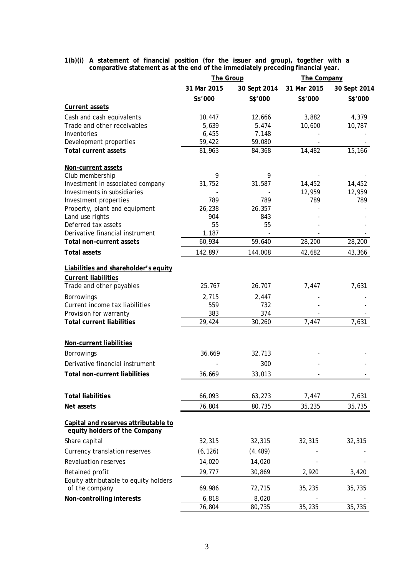### **1(b)(i) A statement of financial position (for the issuer and group), together with a comparative statement as at the end of the immediately preceding financial year.**

|                                                                       | <b>The Group</b> |              |             | The Company  |  |  |
|-----------------------------------------------------------------------|------------------|--------------|-------------|--------------|--|--|
|                                                                       | 31 Mar 2015      | 30 Sept 2014 | 31 Mar 2015 | 30 Sept 2014 |  |  |
|                                                                       | S\$'000          | S\$'000      | S\$'000     | S\$'000      |  |  |
| <b>Current assets</b>                                                 |                  |              |             |              |  |  |
| Cash and cash equivalents                                             | 10,447           | 12,666       | 3,882       | 4,379        |  |  |
| Trade and other receivables                                           | 5,639            | 5,474        | 10,600      | 10,787       |  |  |
| Inventories                                                           | 6,455            | 7,148        |             |              |  |  |
| Development properties                                                | 59,422           | 59,080       |             |              |  |  |
| <b>Total current assets</b>                                           | 81,963           | 84,368       | 14,482      | 15,166       |  |  |
| Non-current assets                                                    |                  |              |             |              |  |  |
| Club membership                                                       | 9                | 9            |             |              |  |  |
| Investment in associated company                                      | 31,752           | 31,587       | 14,452      | 14,452       |  |  |
| Investments in subsidiaries                                           |                  |              | 12,959      | 12,959       |  |  |
| Investment properties                                                 | 789              | 789          | 789         | 789          |  |  |
| Property, plant and equipment                                         | 26,238           | 26,357       |             |              |  |  |
| Land use rights                                                       | 904              | 843          |             |              |  |  |
| Deferred tax assets                                                   | 55               | 55           |             |              |  |  |
| Derivative financial instrument                                       | 1,187            |              |             |              |  |  |
| <b>Total non-current assets</b>                                       | 60,934           | 59,640       | 28,200      | 28,200       |  |  |
| <b>Total assets</b>                                                   | 142,897          | 144,008      | 42,682      | 43,366       |  |  |
| Liabilities and shareholder's equity                                  |                  |              |             |              |  |  |
| <b>Current liabilities</b>                                            |                  |              |             |              |  |  |
| Trade and other payables                                              | 25,767           | 26,707       | 7,447       | 7,631        |  |  |
| <b>Borrowings</b>                                                     | 2,715            | 2,447        |             |              |  |  |
| Current income tax liabilities                                        | 559              | 732          |             |              |  |  |
| Provision for warranty                                                | 383              | 374          |             |              |  |  |
| <b>Total current liabilities</b>                                      | 29,424           | 30,260       | 7,447       | 7,631        |  |  |
| <b>Non-current liabilities</b>                                        |                  |              |             |              |  |  |
| Borrowings                                                            | 36,669           | 32,713       |             |              |  |  |
| Derivative financial instrument                                       |                  | 300          |             |              |  |  |
| <b>Total non-current liabilities</b>                                  | 36,669           | 33,013       |             |              |  |  |
|                                                                       |                  |              |             |              |  |  |
| <b>Total liabilities</b>                                              | 66,093           | 63,273       | 7,447       | 7,631        |  |  |
| <b>Net assets</b>                                                     | 76,804           | 80,735       | 35,235      | 35,735       |  |  |
| Capital and reserves attributable to<br>equity holders of the Company |                  |              |             |              |  |  |
|                                                                       | 32,315           |              |             | 32,315       |  |  |
| Share capital                                                         |                  | 32,315       | 32,315      |              |  |  |
| Currency translation reserves                                         | (6, 126)         | (4, 489)     |             |              |  |  |
| Revaluation reserves                                                  | 14,020           | 14,020       |             |              |  |  |
| Retained profit                                                       | 29,777           | 30,869       | 2,920       | 3,420        |  |  |
| Equity attributable to equity holders<br>of the company               | 69,986           | 72,715       | 35,235      | 35,735       |  |  |
|                                                                       |                  |              |             |              |  |  |
| <b>Non-controlling interests</b>                                      | 6,818            | 8,020        |             |              |  |  |
|                                                                       | 76,804           | 80,735       | 35,235      | 35,735       |  |  |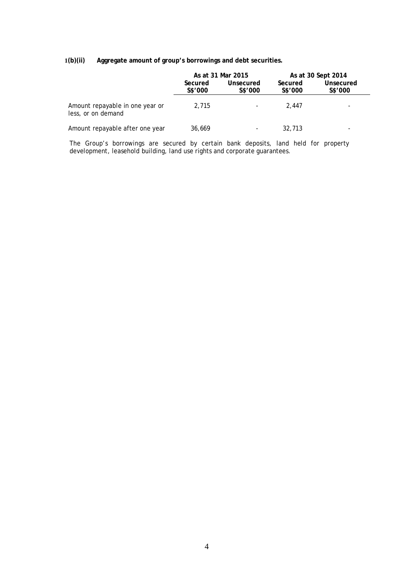# **1(b)(ii) Aggregate amount of group's borrowings and debt securities.**

|                                                       |                    | As at 31 Mar 2015 |                      | As at 30 Sept 2014 |                    |                             |
|-------------------------------------------------------|--------------------|-------------------|----------------------|--------------------|--------------------|-----------------------------|
|                                                       | Secured<br>S\$'000 |                   | Unsecured<br>S\$'000 |                    | Secured<br>S\$'000 | <b>Unsecured</b><br>S\$'000 |
| Amount repayable in one year or<br>less, or on demand | 2.715              |                   | 2.447                |                    |                    |                             |
| Amount repayable after one year                       | 36.669             |                   | 32,713               |                    |                    |                             |

The Group's borrowings are secured by certain bank deposits, land held for property development, leasehold building, land use rights and corporate guarantees.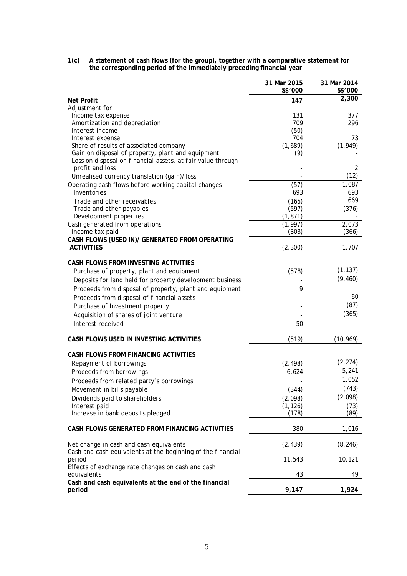| 1(c) | A statement of cash flows (for the group), together with a comparative statement for |
|------|--------------------------------------------------------------------------------------|
|      | the corresponding period of the immediately preceding financial year                 |

|                                                                                                        | 31 Mar 2015<br>S\$'000 | 31 Mar 2014<br>S\$'000 |
|--------------------------------------------------------------------------------------------------------|------------------------|------------------------|
| <b>Net Profit</b>                                                                                      | 147                    | 2,300                  |
| Adjustment for:                                                                                        |                        |                        |
| Income tax expense                                                                                     | 131                    | 377                    |
| Amortization and depreciation                                                                          | 709                    | 296                    |
| Interest income                                                                                        | (50)                   |                        |
| Interest expense                                                                                       | 704                    | 73                     |
| Share of results of associated company<br>Gain on disposal of property, plant and equipment            | (1,689)<br>(9)         | (1, 949)               |
| Loss on disposal on financial assets, at fair value through                                            |                        |                        |
| profit and loss                                                                                        |                        | 2                      |
| Unrealised currency translation (gain)/loss                                                            |                        | (12)                   |
| Operating cash flows before working capital changes                                                    | (57)                   | 1,087                  |
| Inventories                                                                                            | 693                    | 693                    |
| Trade and other receivables                                                                            | (165)                  | 669                    |
| Trade and other payables                                                                               | (597)                  | (376)                  |
| Development properties                                                                                 | (1, 871)               |                        |
| Cash generated from operations                                                                         | (1, 997)               | 2,073                  |
| Income tax paid                                                                                        | (303)                  | (366)                  |
| CASH FLOWS (USED IN)/ GENERATED FROM OPERATING                                                         |                        |                        |
| <b>ACTIVITIES</b>                                                                                      | (2, 300)               | 1,707                  |
|                                                                                                        |                        |                        |
| <b>CASH FLOWS FROM INVESTING ACTIVITIES</b>                                                            |                        |                        |
| Purchase of property, plant and equipment                                                              | (578)                  | (1, 137)               |
| Deposits for land held for property development business                                               |                        | (9, 460)               |
| Proceeds from disposal of property, plant and equipment                                                | 9                      |                        |
| Proceeds from disposal of financial assets                                                             |                        | 80                     |
| Purchase of Investment property                                                                        |                        | (87)                   |
| Acquisition of shares of joint venture                                                                 |                        | (365)                  |
| Interest received                                                                                      | 50                     |                        |
|                                                                                                        |                        |                        |
| CASH FLOWS USED IN INVESTING ACTIVITIES                                                                | (519)                  | (10, 969)              |
| <b>CASH FLOWS FROM FINANCING ACTIVITIES</b>                                                            |                        |                        |
| Repayment of borrowings                                                                                | (2, 498)               | (2, 274)               |
| Proceeds from borrowings                                                                               | 6,624                  | 5,241                  |
| Proceeds from related party's borrowings                                                               |                        | 1,052                  |
| Movement in bills payable                                                                              | (344)                  | (743)                  |
| Dividends paid to shareholders                                                                         | (2,098)                | (2,098)                |
| Interest paid                                                                                          | (1, 126)               | (73)                   |
| Increase in bank deposits pledged                                                                      | (178)                  | (89)                   |
| CASH FLOWS GENERATED FROM FINANCING ACTIVITIES                                                         | 380                    | 1,016                  |
|                                                                                                        |                        |                        |
| Net change in cash and cash equivalents<br>Cash and cash equivalents at the beginning of the financial | (2, 439)               | (8, 246)               |
| period                                                                                                 | 11,543                 | 10,121                 |
| Effects of exchange rate changes on cash and cash                                                      |                        |                        |
| equivalents                                                                                            | 43                     | 49                     |
| Cash and cash equivalents at the end of the financial<br>period                                        | 9,147                  | 1,924                  |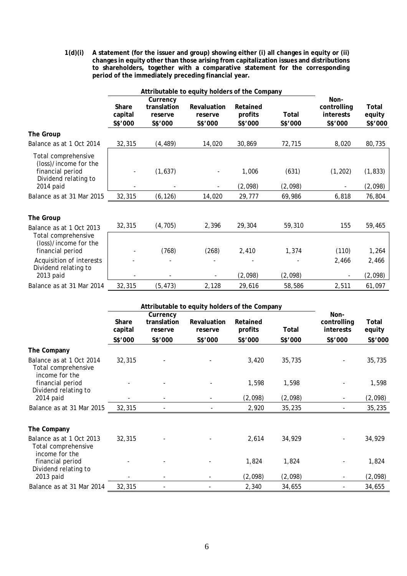**1(d)(i) A statement (for the issuer and group) showing either (i) all changes in equity or (ii) changes in equity other than those arising from capitalization issues and distributions to shareholders, together with a comparative statement for the corresponding period of the immediately preceding financial year.** 

|                                                                                                       | Attributable to equity holders of the Company |                                               |                                          |                                |                         |                                                    |                            |
|-------------------------------------------------------------------------------------------------------|-----------------------------------------------|-----------------------------------------------|------------------------------------------|--------------------------------|-------------------------|----------------------------------------------------|----------------------------|
|                                                                                                       | Share<br>capital<br>S\$'000                   | Currency<br>translation<br>reserve<br>S\$'000 | <b>Revaluation</b><br>reserve<br>S\$'000 | Retained<br>profits<br>S\$'000 | <b>Total</b><br>S\$'000 | Non-<br>controlling<br><b>interests</b><br>S\$'000 | Total<br>equity<br>S\$'000 |
| <b>The Group</b>                                                                                      |                                               |                                               |                                          |                                |                         |                                                    |                            |
| Balance as at 1 Oct 2014                                                                              | 32,315                                        | (4, 489)                                      | 14,020                                   | 30,869                         | 72,715                  | 8,020                                              | 80,735                     |
| Total comprehensive<br>(loss)/income for the<br>financial period<br>Dividend relating to<br>2014 paid |                                               | (1,637)                                       |                                          | 1,006<br>(2,098)               | (631)<br>(2,098)        | (1, 202)                                           | (1, 833)<br>(2,098)        |
| Balance as at 31 Mar 2015                                                                             | 32,315                                        | (6, 126)                                      | 14,020                                   | 29,777                         | 69,986                  | 6,818                                              | 76,804                     |
| <b>The Group</b><br>Balance as at 1 Oct 2013                                                          | 32,315                                        | (4, 705)                                      | 2,396                                    | 29,304                         | 59,310                  | 155                                                | 59,465                     |
| Total comprehensive<br>(loss)/income for the<br>financial period                                      |                                               | (768)                                         | (268)                                    | 2,410                          | 1,374                   | (110)                                              | 1,264                      |
| Acquisition of interests<br>Dividend relating to<br>2013 paid                                         |                                               |                                               |                                          | (2,098)                        | (2,098)                 | 2,466                                              | 2,466<br>(2,098)           |
| Balance as at 31 Mar 2014                                                                             | 32,315                                        | (5, 473)                                      | 2,128                                    | 29,616                         | 58,586                  | 2,511                                              | 61,097                     |

|                                                                   | Attributable to equity holders of the Company |                                    |                               |                            |         |                                         |                 |
|-------------------------------------------------------------------|-----------------------------------------------|------------------------------------|-------------------------------|----------------------------|---------|-----------------------------------------|-----------------|
|                                                                   | <b>Share</b><br>capital                       | Currency<br>translation<br>reserve | <b>Revaluation</b><br>reserve | <b>Retained</b><br>profits | Total   | Non-<br>controlling<br><b>interests</b> | Total<br>equity |
|                                                                   | S\$'000                                       | S\$'000                            | S\$'000                       | S\$'000                    | S\$'000 | S\$'000                                 | S\$'000         |
| The Company                                                       |                                               |                                    |                               |                            |         |                                         |                 |
| Balance as at 1 Oct 2014<br>Total comprehensive<br>income for the | 32,315                                        |                                    |                               | 3,420                      | 35,735  |                                         | 35,735          |
| financial period<br>Dividend relating to                          |                                               |                                    |                               | 1,598                      | 1,598   |                                         | 1,598           |
| 2014 paid                                                         |                                               |                                    |                               | (2,098)                    | (2,098) | $\overline{\phantom{a}}$                | (2,098)         |
| Balance as at 31 Mar 2015                                         | 32,315                                        |                                    |                               | 2,920                      | 35,235  |                                         | 35,235          |
| The Company                                                       |                                               |                                    |                               |                            |         |                                         |                 |
| Balance as at 1 Oct 2013<br>Total comprehensive<br>income for the | 32,315                                        |                                    |                               | 2,614                      | 34,929  |                                         | 34,929          |
| financial period<br>Dividend relating to                          |                                               |                                    |                               | 1,824                      | 1,824   |                                         | 1,824           |
| 2013 paid                                                         |                                               |                                    |                               | (2,098)                    | (2,098) |                                         | (2,098)         |
| Balance as at 31 Mar 2014                                         | 32,315                                        |                                    |                               | 2,340                      | 34,655  |                                         | 34,655          |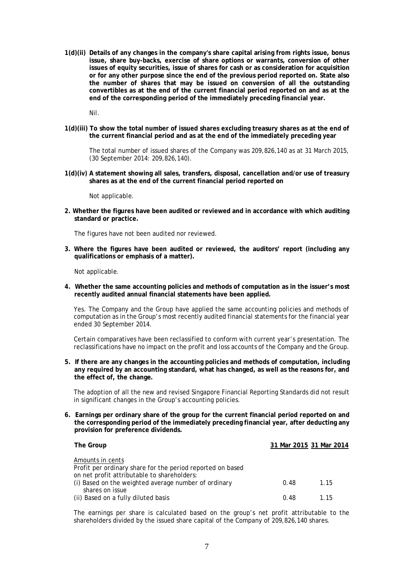**1(d)(ii) Details of any changes in the company's share capital arising from rights issue, bonus issue, share buy-backs, exercise of share options or warrants, conversion of other issues of equity securities, issue of shares for cash or as consideration for acquisition or for any other purpose since the end of the previous period reported on. State also the number of shares that may be issued on conversion of all the outstanding convertibles as at the end of the current financial period reported on and as at the end of the corresponding period of the immediately preceding financial year.** 

Nil.

**1(d)(iii) To show the total number of issued shares excluding treasury shares as at the end of the current financial period and as at the end of the immediately preceding year**

The total number of issued shares of the Company was 209,826,140 as at 31 March 2015, (30 September 2014: 209,826,140).

**1(d)(iv) A statement showing all sales, transfers, disposal, cancellation and/or use of treasury shares as at the end of the current financial period reported on**

Not applicable.

**2. Whether the figures have been audited or reviewed and in accordance with which auditing standard or practice.** 

The figures have not been audited nor reviewed.

**3. Where the figures have been audited or reviewed, the auditors' report (including any qualifications or emphasis of a matter).** 

Not applicable.

**4. Whether the same accounting policies and methods of computation as in the issuer's most recently audited annual financial statements have been applied.** 

Yes. The Company and the Group have applied the same accounting policies and methods of computation as in the Group's most recently audited financial statements for the financial year ended 30 September 2014.

Certain comparatives have been reclassified to conform with current year's presentation. The reclassifications have no impact on the profit and loss accounts of the Company and the Group.

**5. If there are any changes in the accounting policies and methods of computation, including any required by an accounting standard, what has changed, as well as the reasons for, and the effect of, the change.** 

The adoption of all the new and revised Singapore Financial Reporting Standards did not result in significant changes in the Group's accounting policies.

**6. Earnings per ordinary share of the group for the current financial period reported on and the corresponding period of the immediately preceding financial year, after deducting any provision for preference dividends.** 

| <b>The Group</b>                                           |      | 31 Mar 2015 31 Mar 2014 |
|------------------------------------------------------------|------|-------------------------|
|                                                            |      |                         |
| Amounts in cents                                           |      |                         |
| Profit per ordinary share for the period reported on based |      |                         |
| on net profit attributable to shareholders:                |      |                         |
| (i) Based on the weighted average number of ordinary       | 0.48 | 1.15                    |
| shares on issue                                            |      |                         |
| (ii) Based on a fully diluted basis                        | 0.48 | 1.15                    |

The earnings per share is calculated based on the group's net profit attributable to the shareholders divided by the issued share capital of the Company of 209,826,140 shares.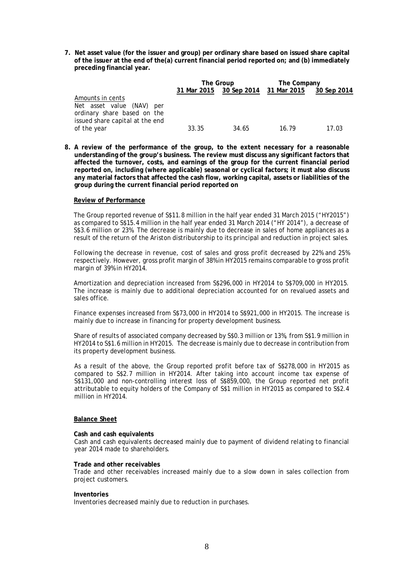**7. Net asset value (for the issuer and group) per ordinary share based on issued share capital of the issuer at the end of the(a) current financial period reported on; and (b) immediately preceding financial year.** 

|                                                                              |             | The Group   |             | The Company |  |  |
|------------------------------------------------------------------------------|-------------|-------------|-------------|-------------|--|--|
|                                                                              | 31 Mar 2015 | 30 Sep 2014 | 31 Mar 2015 | 30 Sep 2014 |  |  |
| Amounts in cents<br>Net asset value (NAV) per<br>ordinary share based on the |             |             |             |             |  |  |
| issued share capital at the end<br>of the year                               | 33.35       | 34.65       | 16.79       | 17.03       |  |  |

**8. A review of the performance of the group, to the extent necessary for a reasonable understanding of the group's business. The review must discuss any significant factors that affected the turnover, costs, and earnings of the group for the current financial period reported on, including (where applicable) seasonal or cyclical factors; it must also discuss any material factors that affected the cash flow, working capital, assets or liabilities of the group during the current financial period reported on**

#### **Review of Performance**

The Group reported revenue of S\$11.8 million in the half year ended 31 March 2015 ("HY2015") as compared to S\$15.4 million in the half year ended 31 March 2014 ("HY 2014"), a decrease of S\$3.6 million or 23%. The decrease is mainly due to decrease in sales of home appliances as a result of the return of the Ariston distributorship to its principal and reduction in project sales.

Following the decrease in revenue, cost of sales and gross profit decreased by 22% and 25% respectively. However, gross profit margin of 38% in HY2015 remains comparable to gross profit margin of 39% in HY2014.

Amortization and depreciation increased from S\$296,000 in HY2014 to S\$709,000 in HY2015. The increase is mainly due to additional depreciation accounted for on revalued assets and sales office.

Finance expenses increased from S\$73,000 in HY2014 to S\$921,000 in HY2015. The increase is mainly due to increase in financing for property development business.

Share of results of associated company decreased by S\$0.3 million or 13%, from S\$1.9 million in HY2014 to S\$1.6 million in HY2015. The decrease is mainly due to decrease in contribution from its property development business.

As a result of the above, the Group reported profit before tax of S\$278,000 in HY2015 as compared to S\$2.7 million in HY2014. After taking into account income tax expense of S\$131,000 and non-controlling interest loss of S\$859,000, the Group reported net profit attributable to equity holders of the Company of S\$1 million in HY2015 as compared to S\$2.4 million in HY2014

### **Balance Sheet**

#### **Cash and cash equivalents**

Cash and cash equivalents decreased mainly due to payment of dividend relating to financial year 2014 made to shareholders.

#### **Trade and other receivables**

Trade and other receivables increased mainly due to a slow down in sales collection from project customers.

#### **Inventories**

Inventories decreased mainly due to reduction in purchases.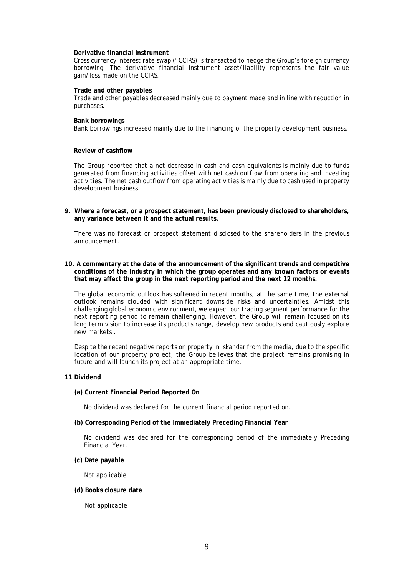### **Derivative financial instrument**

Cross currency interest rate swap ("CCIRS) is transacted to hedge the Group's foreign currency borrowing. The derivative financial instrument asset/liability represents the fair value gain/loss made on the CCIRS.

#### **Trade and other payables**

Trade and other payables decreased mainly due to payment made and in line with reduction in purchases.

#### **Bank borrowings**

Bank borrowings increased mainly due to the financing of the property development business.

### **Review of cashflow**

The Group reported that a net decrease in cash and cash equivalents is mainly due to funds generated from financing activities offset with net cash outflow from operating and investing activities. The net cash outflow from operating activities is mainly due to cash used in property development business.

**9. Where a forecast, or a prospect statement, has been previously disclosed to shareholders, any variance between it and the actual results.** 

There was no forecast or prospect statement disclosed to the shareholders in the previous announcement.

### **10. A commentary at the date of the announcement of the significant trends and competitive conditions of the industry in which the group operates and any known factors or events that may affect the group in the next reporting period and the next 12 months.**

The global economic outlook has softened in recent months, at the same time, the external outlook remains clouded with significant downside risks and uncertainties. Amidst this challenging global economic environment, we expect our trading segment performance for the next reporting period to remain challenging. However, the Group will remain focused on its long term vision to increase its products range, develop new products and cautiously explore new markets **.**

Despite the recent negative reports on property in Iskandar from the media, due to the specific location of our property project, the Group believes that the project remains promising in future and will launch its project at an appropriate time.

### **11 Dividend**

#### **(a) Current Financial Period Reported On**

No dividend was declared for the current financial period reported on.

### **(b) Corresponding Period of the Immediately Preceding Financial Year**

No dividend was declared for the corresponding period of the immediately Preceding Financial Year.

### **(c) Date payable**

Not applicable

### **(d) Books closure date**

Not applicable